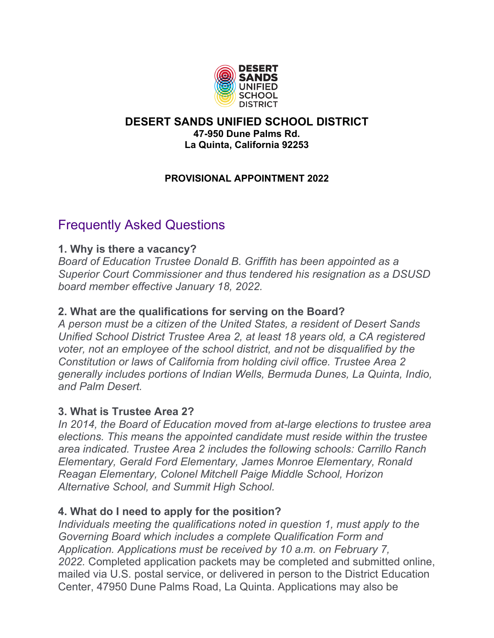

#### **DESERT SANDS UNIFIED SCHOOL DISTRICT 47-950 Dune Palms Rd. La Quinta, California 92253**

## **PROVISIONAL APPOINTMENT 2022**

# Frequently Asked Questions

## **1. Why is there a vacancy?**

*Board of Education Trustee Donald B. Griffith has been appointed as a Superior Court Commissioner and thus tendered his resignation as a DSUSD board member effective January 18, 2022.*

# **2. What are the qualifications for serving on the Board?**

*A person must be a citizen of the United States, a resident of Desert Sands Unified School District Trustee Area 2, at least 18 years old, a CA registered voter, not an employee of the school district, and not be disqualified by the Constitution or laws of California from holding civil office. Trustee Area 2 generally includes portions of Indian Wells, Bermuda Dunes, La Quinta, Indio, and Palm Desert.* 

#### **3. What is Trustee Area 2?**

*In 2014, the Board of Education moved from at-large elections to trustee area elections. This means the appointed candidate must reside within the trustee area indicated. Trustee Area 2 includes the following schools: Carrillo Ranch Elementary, Gerald Ford Elementary, James Monroe Elementary, Ronald Reagan Elementary, Colonel Mitchell Paige Middle School, Horizon Alternative School, and Summit High School.*

# **4. What do I need to apply for the position?**

*Individuals meeting the qualifications noted in question 1, must apply to the Governing Board which includes a complete Qualification Form and Application. Applications must be received by 10 a.m. on February 7, 2022.* Completed application packets may be completed and submitted online, mailed via U.S. postal service, or delivered in person to the District Education Center, 47950 Dune Palms Road, La Quinta. Applications may also be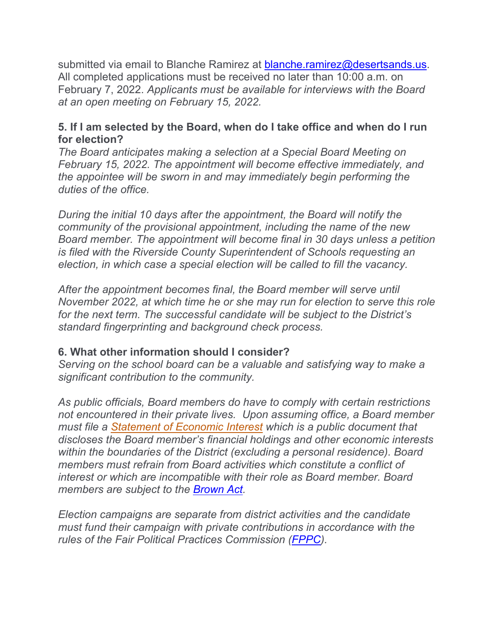submitted via email to Blanche Ramirez at [blanche.ramirez@desertsands.us.](mailto:blanche.ramirez@desertsands.us) All completed applications must be received no later than 10:00 a.m. on February 7, 2022. *Applicants must be available for interviews with the Board at an open meeting on February 15, 2022.*

## **5. If I am selected by the Board, when do I take office and when do I run for election?**

*The Board anticipates making a selection at a Special Board Meeting on February 15, 2022. The appointment will become effective immediately, and the appointee will be sworn in and may immediately begin performing the duties of the office.*

*During the initial 10 days after the appointment, the Board will notify the community of the provisional appointment, including the name of the new Board member. The appointment will become final in 30 days unless a petition is filed with the Riverside County Superintendent of Schools requesting an election, in which case a special election will be called to fill the vacancy.*

*After the appointment becomes final, the Board member will serve until November 2022, at which time he or she may run for election to serve this role for the next term. The successful candidate will be subject to the District's standard fingerprinting and background check process.*

# **6. What other information should I consider?**

*Serving on the school board can be a valuable and satisfying way to make a significant contribution to the community.* 

*As public officials, Board members do have to comply with certain restrictions not encountered in their private lives. Upon assuming office, a Board member must file a Statement of [Economic Interest](http://www.fppc.ca.gov/forms.html#title1) which is a public document that discloses the Board member's financial holdings and other economic interests within the boundaries of the District (excluding a personal residence). Board members must refrain from Board activities which constitute a conflict of interest or which are incompatible with their role as Board member. Board members are subject to the [Brown Act.](https://leginfo.legislature.ca.gov/faces/codes_displayText.xhtml?division=2.&chapter=9.&part=1.&lawCode=GOV&title=5.)*

*Election campaigns are separate from district activities and the candidate must fund their campaign with private contributions in accordance with the rules of the Fair Political Practices Commission [\(FPPC\)](https://www.fppc.ca.gov/).*